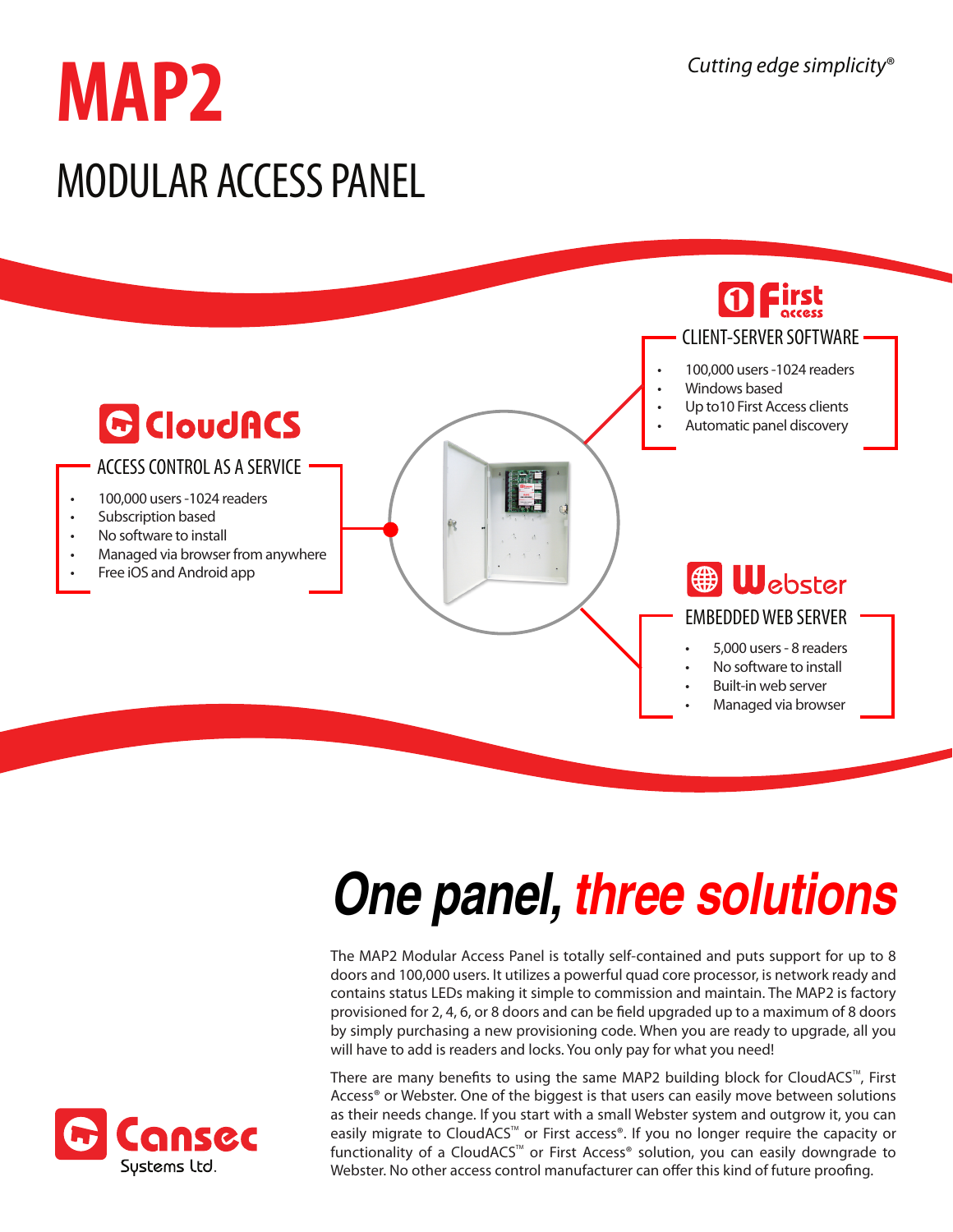# **MAP2** MODULAR ACCESS PANEL



- Built-in web server
- Managed via browser

## *One panel, three solutions*

The MAP2 Modular Access Panel is totally self-contained and puts support for up to 8 doors and 100,000 users. It utilizes a powerful quad core processor, is network ready and contains status LEDs making it simple to commission and maintain. The MAP2 is factory provisioned for 2, 4, 6, or 8 doors and can be field upgraded up to a maximum of 8 doors by simply purchasing a new provisioning code. When you are ready to upgrade, all you will have to add is readers and locks. You only pay for what you need!

There are many benefits to using the same MAP2 building block for CloudACS<sup>TM</sup>, First Access® or Webster. One of the biggest is that users can easily move between solutions as their needs change. If you start with a small Webster system and outgrow it, you can easily migrate to CloudACS<sup>™</sup> or First access®. If you no longer require the capacity or functionality of a CloudACS<sup>™</sup> or First Access® solution, you can easily downgrade to Webster. No other access control manufacturer can offer this kind of future proofing.